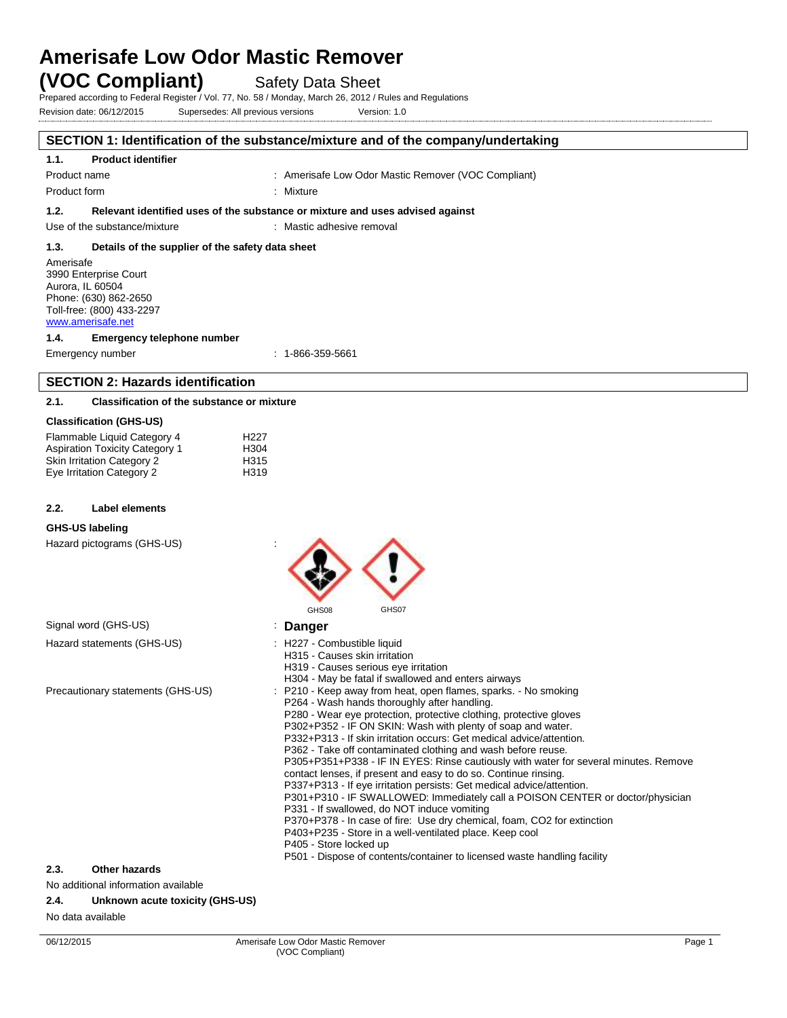# **Amerisafe Low Odor Mastic Remover (VOC Compliant)** Safety Data Sheet

Prepared according to Federal Register / Vol. 77, No. 58 / Monday, March 26, 2012 / Rules and Regulations

Revision date: 06/12/2015 Supersedes: All previous versions Version: 1.0

# **SECTION 1: Identification of the substance/mixture and of the company/undertaking**

#### **1.1. Product identifier**

Product name **: Amerisafe Low Odor Mastic Remover (VOC Compliant)** : Amerisafe Low Odor Mastic Remover (VOC Compliant)

Product form : Nixture : Mixture

**1.2. Relevant identified uses of the substance or mixture and uses advised against**

Use of the substance/mixture : Mastic adhesive removal

## **1.3. Details of the supplier of the safety data sheet**

Amerisafe 3990 Enterprise Court Aurora, IL 60504 Phone: (630) 862-2650 Toll-free: (800) 433-2297 [www.amerisafe.net](http://www.amerisafe.net/)

# **1.4. Emergency telephone number**

Emergency number : 1-866-359-5661

# **SECTION 2: Hazards identification**

#### **2.1. Classification of the substance or mixture**

#### **Classification (GHS-US)**

| Flammable Liquid Category 4           | H <sub>22</sub> 7 |
|---------------------------------------|-------------------|
| <b>Aspiration Toxicity Category 1</b> | H <sub>304</sub>  |
| <b>Skin Irritation Category 2</b>     | H <sub>315</sub>  |
| Eye Irritation Category 2             | H <sub>319</sub>  |

#### **2.2. Label elements**

#### **GHS-US labeling**

Hazard pictograms (GHS-US) :

|                                     | GHS07<br>GHS08                                                                                                                                                                                                                                                                                                                                                                                                                                                                                                                                                                                                                                                                                                                                                                                                                                                                                                                                                                                                |
|-------------------------------------|---------------------------------------------------------------------------------------------------------------------------------------------------------------------------------------------------------------------------------------------------------------------------------------------------------------------------------------------------------------------------------------------------------------------------------------------------------------------------------------------------------------------------------------------------------------------------------------------------------------------------------------------------------------------------------------------------------------------------------------------------------------------------------------------------------------------------------------------------------------------------------------------------------------------------------------------------------------------------------------------------------------|
| Signal word (GHS-US)                | Danger                                                                                                                                                                                                                                                                                                                                                                                                                                                                                                                                                                                                                                                                                                                                                                                                                                                                                                                                                                                                        |
| Hazard statements (GHS-US)          | : H227 - Combustible liquid<br>H315 - Causes skin irritation<br>H319 - Causes serious eye irritation<br>H304 - May be fatal if swallowed and enters airways                                                                                                                                                                                                                                                                                                                                                                                                                                                                                                                                                                                                                                                                                                                                                                                                                                                   |
| Precautionary statements (GHS-US)   | : P210 - Keep away from heat, open flames, sparks. - No smoking<br>P264 - Wash hands thoroughly after handling.<br>P280 - Wear eye protection, protective clothing, protective gloves<br>P302+P352 - IF ON SKIN: Wash with plenty of soap and water.<br>P332+P313 - If skin irritation occurs: Get medical advice/attention.<br>P362 - Take off contaminated clothing and wash before reuse.<br>P305+P351+P338 - IF IN EYES: Rinse cautiously with water for several minutes. Remove<br>contact lenses, if present and easy to do so. Continue rinsing.<br>P337+P313 - If eye irritation persists: Get medical advice/attention.<br>P301+P310 - IF SWALLOWED: Immediately call a POISON CENTER or doctor/physician<br>P331 - If swallowed, do NOT induce vomiting<br>P370+P378 - In case of fire: Use dry chemical, foam, CO2 for extinction<br>P403+P235 - Store in a well-ventilated place. Keep cool<br>P405 - Store locked up<br>P501 - Dispose of contents/container to licensed waste handling facility |
| 2.3.<br>Other hazards               |                                                                                                                                                                                                                                                                                                                                                                                                                                                                                                                                                                                                                                                                                                                                                                                                                                                                                                                                                                                                               |
| Na additional information quoilable |                                                                                                                                                                                                                                                                                                                                                                                                                                                                                                                                                                                                                                                                                                                                                                                                                                                                                                                                                                                                               |

 $\wedge$   $\wedge$ 

### No additional information available

#### **2.4. Unknown acute toxicity (GHS-US)**

No data available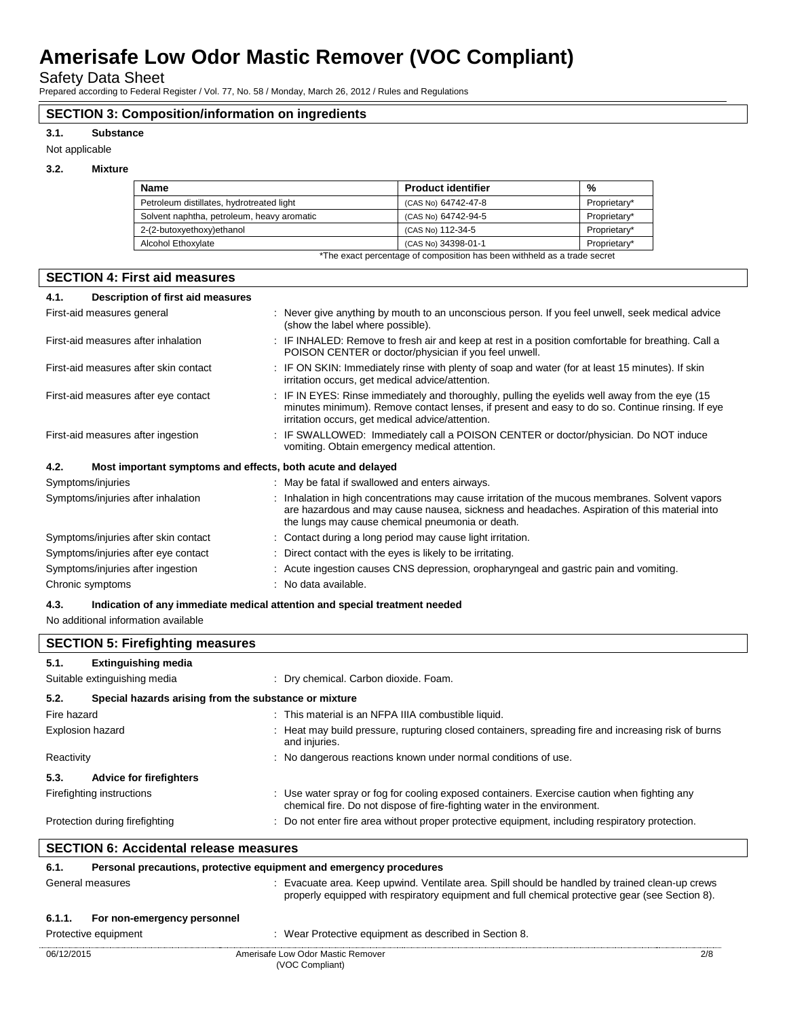Safety Data Sheet

Prepared according to Federal Register / Vol. 77, No. 58 / Monday, March 26, 2012 / Rules and Regulations

# **SECTION 3: Composition/information on ingredients**

#### **3.1. Substance**

Not applicable

### **3.2. Mixture**

| <b>Name</b>                                | <b>Product identifier</b>                                                | %            |
|--------------------------------------------|--------------------------------------------------------------------------|--------------|
| Petroleum distillates, hydrotreated light  | (CAS No) 64742-47-8                                                      | Proprietary* |
| Solvent naphtha, petroleum, heavy aromatic | (CAS No) 64742-94-5                                                      | Proprietary* |
| 2-(2-butoxyethoxy)ethanol                  | (CAS No) 112-34-5                                                        | Proprietary* |
| Alcohol Ethoxylate                         | (CAS No) 34398-01-1                                                      | Proprietary* |
|                                            | *The exact percentage of composition has been withheld as a trade secret |              |

## **SECTION 4: First aid measures**

| Description of first aid measures<br>4.1.                           |                                                                                                                                                                                                                                                        |
|---------------------------------------------------------------------|--------------------------------------------------------------------------------------------------------------------------------------------------------------------------------------------------------------------------------------------------------|
| First-aid measures general                                          | : Never give anything by mouth to an unconscious person. If you feel unwell, seek medical advice<br>(show the label where possible).                                                                                                                   |
| First-aid measures after inhalation                                 | : IF INHALED: Remove to fresh air and keep at rest in a position comfortable for breathing. Call a<br>POISON CENTER or doctor/physician if you feel unwell.                                                                                            |
| First-aid measures after skin contact                               | : IF ON SKIN: Immediately rinse with plenty of soap and water (for at least 15 minutes). If skin<br>irritation occurs, get medical advice/attention.                                                                                                   |
| First-aid measures after eye contact                                | : IF IN EYES: Rinse immediately and thoroughly, pulling the eyelids well away from the eye (15)<br>minutes minimum). Remove contact lenses, if present and easy to do so. Continue rinsing. If eye<br>irritation occurs, get medical advice/attention. |
| First-aid measures after ingestion                                  | : IF SWALLOWED: Immediately call a POISON CENTER or doctor/physician. Do NOT induce<br>vomiting. Obtain emergency medical attention.                                                                                                                   |
| 4.2.<br>Most important symptoms and effects, both acute and delayed |                                                                                                                                                                                                                                                        |
| Symptoms/injuries                                                   | : May be fatal if swallowed and enters airways.                                                                                                                                                                                                        |
| Symptoms/injuries after inhalation                                  | : Inhalation in high concentrations may cause irritation of the mucous membranes. Solvent vapors<br>are hazardous and may cause nausea, sickness and headaches. Aspiration of this material into<br>the lungs may cause chemical pneumonia or death.   |
| Symptoms/injuries after skin contact                                | : Contact during a long period may cause light irritation.                                                                                                                                                                                             |
| Symptoms/injuries after eye contact                                 | : Direct contact with the eyes is likely to be irritating.                                                                                                                                                                                             |
| Symptoms/injuries after ingestion                                   | : Acute ingestion causes CNS depression, oropharyngeal and gastric pain and vomiting.                                                                                                                                                                  |
| Chronic symptoms                                                    | : No data available.                                                                                                                                                                                                                                   |

# **4.3. Indication of any immediate medical attention and special treatment needed**

No additional information available

| <b>SECTION 5: Firefighting measures</b>       |                                                                     |                                                                                                                                                                                                    |  |
|-----------------------------------------------|---------------------------------------------------------------------|----------------------------------------------------------------------------------------------------------------------------------------------------------------------------------------------------|--|
| 5.1.                                          | <b>Extinguishing media</b>                                          |                                                                                                                                                                                                    |  |
|                                               | Suitable extinguishing media                                        | : Dry chemical. Carbon dioxide. Foam.                                                                                                                                                              |  |
| 5.2.                                          | Special hazards arising from the substance or mixture               |                                                                                                                                                                                                    |  |
| Fire hazard                                   |                                                                     | : This material is an NFPA IIIA combustible liquid.                                                                                                                                                |  |
| Explosion hazard                              |                                                                     | : Heat may build pressure, rupturing closed containers, spreading fire and increasing risk of burns<br>and injuries.                                                                               |  |
| Reactivity                                    |                                                                     | : No dangerous reactions known under normal conditions of use.                                                                                                                                     |  |
| 5.3.                                          | <b>Advice for firefighters</b>                                      |                                                                                                                                                                                                    |  |
|                                               | Firefighting instructions                                           | : Use water spray or fog for cooling exposed containers. Exercise caution when fighting any<br>chemical fire. Do not dispose of fire-fighting water in the environment.                            |  |
|                                               | Protection during firefighting                                      | : Do not enter fire area without proper protective equipment, including respiratory protection.                                                                                                    |  |
| <b>SECTION 6: Accidental release measures</b> |                                                                     |                                                                                                                                                                                                    |  |
| 6.1.                                          | Personal precautions, protective equipment and emergency procedures |                                                                                                                                                                                                    |  |
|                                               | General measures                                                    | : Evacuate area. Keep upwind. Ventilate area. Spill should be handled by trained clean-up crews<br>properly equipped with respiratory equipment and full chemical protective gear (see Section 8). |  |

# **6.1.1. For non-emergency personnel**

| Protective equipment | : Wear Protective equipment as described in Section 8. |     |
|----------------------|--------------------------------------------------------|-----|
| 06/12/2015           | Amerisafe Low Odor Mastic Remover                      | 2/8 |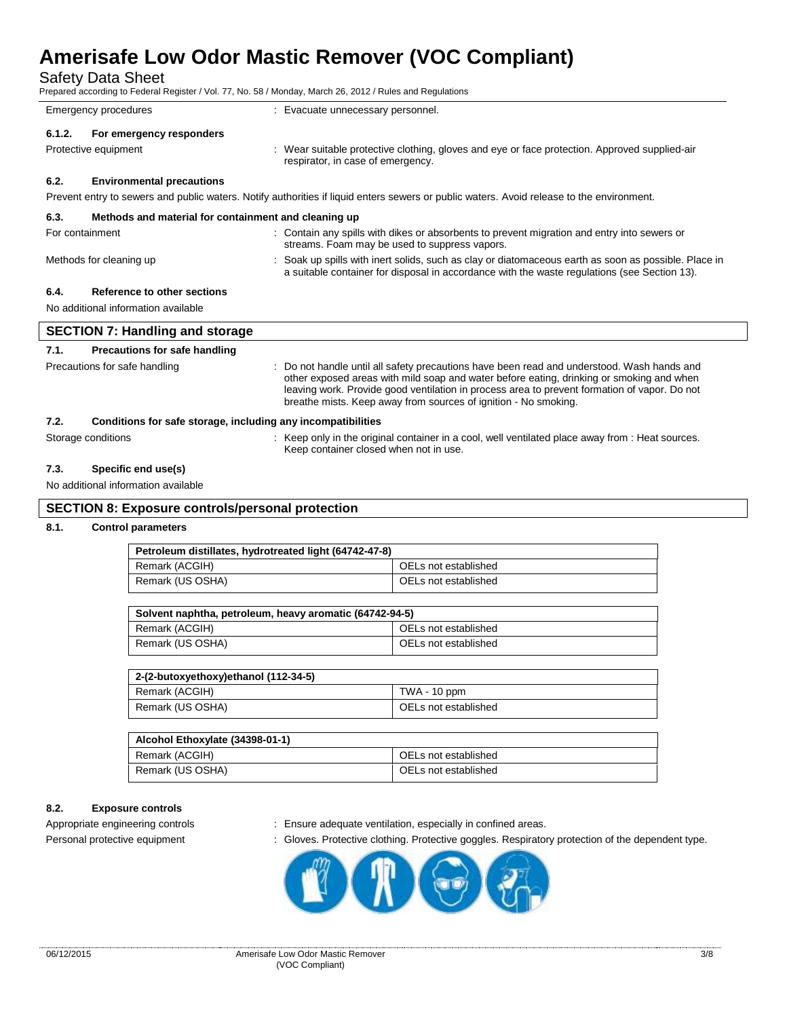Safety Data Sheet

| Prepared according to Federal Register / Vol. 77, No. 58 / Monday, March 26, 2012 / Rules and Regulations |  |
|-----------------------------------------------------------------------------------------------------------|--|
|-----------------------------------------------------------------------------------------------------------|--|

|                                                                                                                                           |                                                      | Ficparcu according to Federal Register / Vol. 77, 190. Jo / Monday, March 20, 2012 / Rules and Regulations                                                                                                                                                                             |  |  |
|-------------------------------------------------------------------------------------------------------------------------------------------|------------------------------------------------------|----------------------------------------------------------------------------------------------------------------------------------------------------------------------------------------------------------------------------------------------------------------------------------------|--|--|
| Emergency procedures                                                                                                                      |                                                      | : Evacuate unnecessary personnel.                                                                                                                                                                                                                                                      |  |  |
| 6.1.2.                                                                                                                                    | For emergency responders                             |                                                                                                                                                                                                                                                                                        |  |  |
|                                                                                                                                           | Protective equipment                                 | : Wear suitable protective clothing, gloves and eye or face protection. Approved supplied-air<br>respirator, in case of emergency.                                                                                                                                                     |  |  |
| 6.2.                                                                                                                                      | <b>Environmental precautions</b>                     |                                                                                                                                                                                                                                                                                        |  |  |
| Prevent entry to sewers and public waters. Notify authorities if liquid enters sewers or public waters. Avoid release to the environment. |                                                      |                                                                                                                                                                                                                                                                                        |  |  |
| 6.3.                                                                                                                                      | Methods and material for containment and cleaning up |                                                                                                                                                                                                                                                                                        |  |  |
|                                                                                                                                           | For containment                                      | : Contain any spills with dikes or absorbents to prevent migration and entry into sewers or<br>streams. Foam may be used to suppress vapors.                                                                                                                                           |  |  |
|                                                                                                                                           | Methods for cleaning up                              | : Soak up spills with inert solids, such as clay or diatomaceous earth as soon as possible. Place in<br>a suitable container for disposal in accordance with the waste regulations (see Section 13).                                                                                   |  |  |
| 6.4.                                                                                                                                      | Reference to other sections                          |                                                                                                                                                                                                                                                                                        |  |  |
| No additional information available                                                                                                       |                                                      |                                                                                                                                                                                                                                                                                        |  |  |
| <b>SECTION 7: Handling and storage</b>                                                                                                    |                                                      |                                                                                                                                                                                                                                                                                        |  |  |
| 7.1.                                                                                                                                      | Precautions for safe handling                        |                                                                                                                                                                                                                                                                                        |  |  |
|                                                                                                                                           | Precautions for safe handling                        | : Do not handle until all safety precautions have been read and understood. Wash hands and<br>other exposed areas with mild soap and water before eating, drinking or smoking and when<br>leaving work. Provide good ventilation in process area to prevent formation of vapor. Do not |  |  |

breathe mists. Keep away from sources of ignition - No smoking.

# **7.2. Conditions for safe storage, including any incompatibilities**

Storage conditions **in the original container in a cool, well ventilated place away from : Heat sources.** 

## **7.3. Specific end use(s)**

No additional information available

# **SECTION 8: Exposure controls/personal protection**

## **8.1. Control parameters**

| Petroleum distillates, hydrotreated light (64742-47-8)  |                      |  |  |
|---------------------------------------------------------|----------------------|--|--|
| Remark (ACGIH)                                          | OELs not established |  |  |
| Remark (US OSHA)                                        | OELs not established |  |  |
|                                                         |                      |  |  |
| Solvent naphtha, petroleum, heavy aromatic (64742-94-5) |                      |  |  |
| Remark (ACGIH)                                          | OELs not established |  |  |
| Remark (US OSHA)                                        | OELs not established |  |  |

Keep container closed when not in use.

| 2-(2-butoxyethoxy)ethanol (112-34-5) |                      |  |
|--------------------------------------|----------------------|--|
| Remark (ACGIH)                       | TWA - 10 ppm         |  |
| Remark (US OSHA)                     | OELs not established |  |

| Alcohol Ethoxylate (34398-01-1) |                      |  |
|---------------------------------|----------------------|--|
| Remark (ACGIH)                  | OELs not established |  |
| Remark (US OSHA)                | OELs not established |  |

## **8.2. Exposure controls**

- Appropriate engineering controls : Ensure adequate ventilation, especially in confined areas.
- Personal protective equipment : Gloves. Protective clothing. Protective goggles. Respiratory protection of the dependent type.

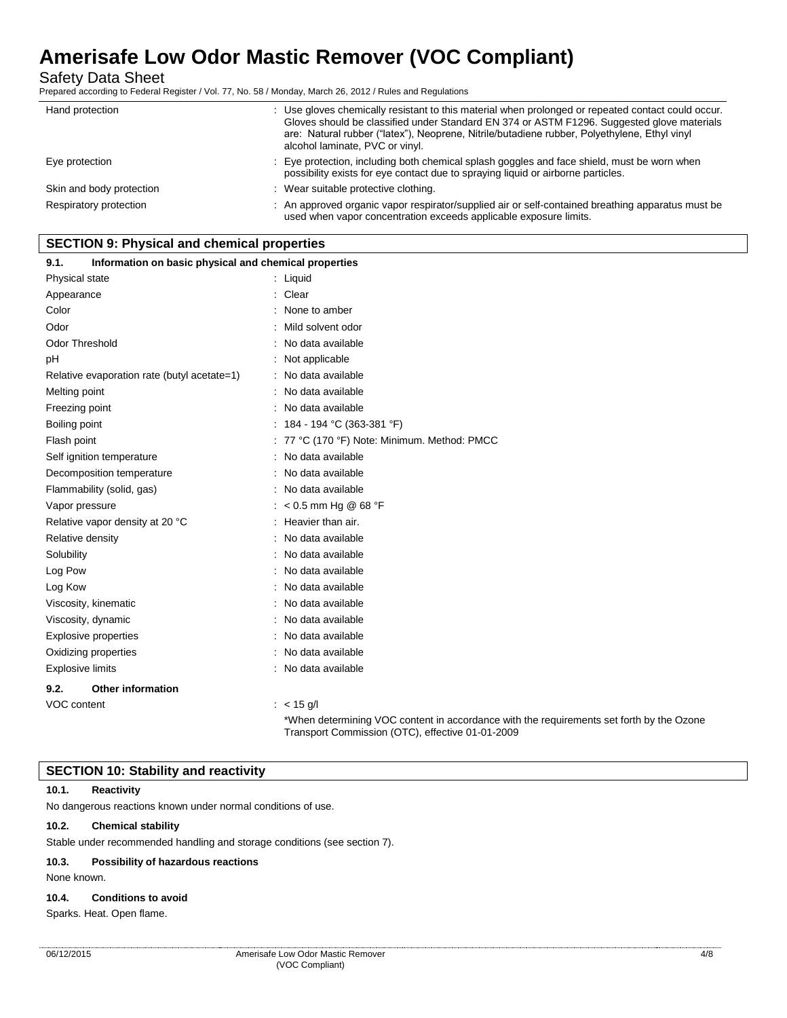Safety Data Sheet

Prepared according to Federal Register / Vol. 77, No. 58 / Monday, March 26, 2012 / Rules and Regulations

| Hand protection          | : Use gloves chemically resistant to this material when prolonged or repeated contact could occur.<br>Gloves should be classified under Standard EN 374 or ASTM F1296. Suggested glove materials<br>are: Natural rubber ("latex"), Neoprene, Nitrile/butadiene rubber, Polyethylene, Ethyl vinyl<br>alcohol laminate, PVC or vinyl. |
|--------------------------|-------------------------------------------------------------------------------------------------------------------------------------------------------------------------------------------------------------------------------------------------------------------------------------------------------------------------------------|
| Eye protection           | : Eye protection, including both chemical splash goggles and face shield, must be worn when<br>possibility exists for eye contact due to spraying liquid or airborne particles.                                                                                                                                                     |
| Skin and body protection | : Wear suitable protective clothing.                                                                                                                                                                                                                                                                                                |
| Respiratory protection   | : An approved organic vapor respirator/supplied air or self-contained breathing apparatus must be<br>used when vapor concentration exceeds applicable exposure limits.                                                                                                                                                              |

# **SECTION 9: Physical and chemical properties**

| Information on basic physical and chemical properties<br>9.1. |                                                                                                                                              |
|---------------------------------------------------------------|----------------------------------------------------------------------------------------------------------------------------------------------|
| Physical state                                                | : Liquid                                                                                                                                     |
| Appearance                                                    | : Clear                                                                                                                                      |
| Color                                                         | None to amber                                                                                                                                |
| Odor                                                          | Mild solvent odor                                                                                                                            |
| <b>Odor Threshold</b>                                         | : No data available                                                                                                                          |
| рH                                                            | : Not applicable                                                                                                                             |
| Relative evaporation rate (butyl acetate=1)                   | : No data available                                                                                                                          |
| Melting point                                                 | No data available                                                                                                                            |
| Freezing point                                                | : No data available                                                                                                                          |
| Boiling point                                                 | : 184 - 194 °C (363-381 °F)                                                                                                                  |
| Flash point                                                   | : 77 °C (170 °F) Note: Minimum. Method: PMCC                                                                                                 |
| Self ignition temperature                                     | No data available                                                                                                                            |
| Decomposition temperature                                     | : No data available                                                                                                                          |
| Flammability (solid, gas)                                     | No data available                                                                                                                            |
| Vapor pressure                                                | $: < 0.5$ mm Hg @ 68 °F                                                                                                                      |
| Relative vapor density at 20 °C                               | Heavier than air.                                                                                                                            |
| Relative density                                              | No data available                                                                                                                            |
| Solubility                                                    | : No data available                                                                                                                          |
| Log Pow                                                       | No data available                                                                                                                            |
| Log Kow                                                       | : No data available                                                                                                                          |
| Viscosity, kinematic                                          | No data available                                                                                                                            |
| Viscosity, dynamic                                            | : No data available                                                                                                                          |
| Explosive properties                                          | No data available                                                                                                                            |
| Oxidizing properties                                          | : No data available                                                                                                                          |
| <b>Explosive limits</b>                                       | No data available                                                                                                                            |
| <b>Other information</b><br>9.2.                              |                                                                                                                                              |
| VOC content                                                   | : $< 15$ g/l                                                                                                                                 |
|                                                               | *When determining VOC content in accordance with the requirements set forth by the Ozone<br>Transport Commission (OTC), effective 01-01-2009 |

## **SECTION 10: Stability and reactivity**

#### **10.1. Reactivity**

No dangerous reactions known under normal conditions of use.

# **10.2. Chemical stability**

Stable under recommended handling and storage conditions (see section 7).

#### **10.3. Possibility of hazardous reactions**

None known.

### **10.4. Conditions to avoid**

Sparks. Heat. Open flame.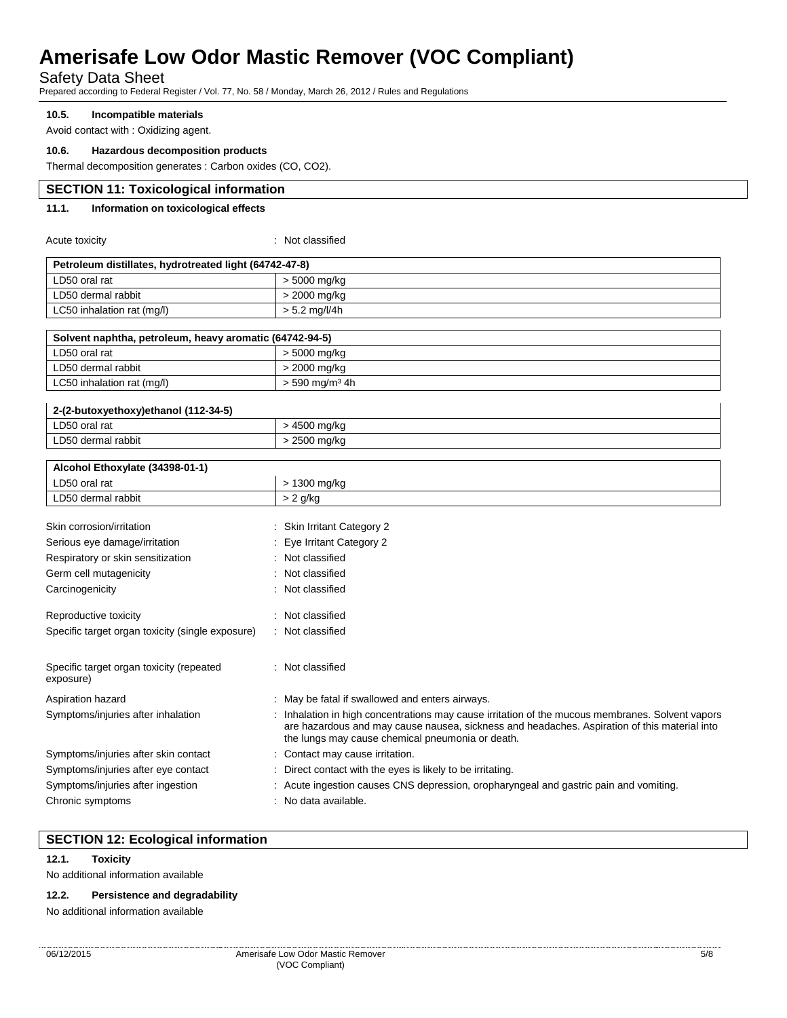Safety Data Sheet

Prepared according to Federal Register / Vol. 77, No. 58 / Monday, March 26, 2012 / Rules and Regulations

### **10.5. Incompatible materials**

Avoid contact with : Oxidizing agent.

### **10.6. Hazardous decomposition products**

Thermal decomposition generates : Carbon oxides (CO, CO2).

## **SECTION 11: Toxicological information**

### **11.1. Information on toxicological effects**

Acute toxicity in the contract of the classified in the classified in the classified in the classified in the classified in the classified in the classified in the classified in the classified in the classified in the clas

| Petroleum distillates, hydrotreated light (64742-47-8) |               |  |
|--------------------------------------------------------|---------------|--|
| LD50 oral rat                                          | > 5000 mg/kg  |  |
| LD50 dermal rabbit                                     | > 2000 mg/kg  |  |
| LC50 inhalation rat (mg/l)                             | > 5.2 mg/l/4h |  |
|                                                        |               |  |

| Solvent naphtha, petroleum, heavy aromatic (64742-94-5) |                            |  |
|---------------------------------------------------------|----------------------------|--|
| LD50 oral rat                                           | > 5000 mg/kg               |  |
| LD50 dermal rabbit                                      | > 2000 mg/kg               |  |
| LC50 inhalation rat (mg/l)                              | > 590 mg/m <sup>3</sup> 4h |  |
|                                                         |                            |  |

| 2-(2-butoxyethoxy)ethanol (112-34-5) |            |  |
|--------------------------------------|------------|--|
| LD50 oral rat                        | 500 mg/kg  |  |
| LD50 dermal rabbit                   | 2500 mg/kg |  |

| Alcohol Ethoxylate (34398-01-1)                       |                                                                                                                                                                                                                                                    |
|-------------------------------------------------------|----------------------------------------------------------------------------------------------------------------------------------------------------------------------------------------------------------------------------------------------------|
| LD50 oral rat                                         | > 1300 mg/kg                                                                                                                                                                                                                                       |
| LD50 dermal rabbit                                    | $> 2$ g/kg                                                                                                                                                                                                                                         |
|                                                       |                                                                                                                                                                                                                                                    |
| Skin corrosion/irritation                             | <b>Skin Irritant Category 2</b>                                                                                                                                                                                                                    |
| Serious eye damage/irritation                         | : Eye Irritant Category 2                                                                                                                                                                                                                          |
| Respiratory or skin sensitization                     | : Not classified                                                                                                                                                                                                                                   |
| Germ cell mutagenicity                                | Not classified                                                                                                                                                                                                                                     |
| Carcinogenicity                                       | : Not classified                                                                                                                                                                                                                                   |
| Reproductive toxicity                                 | Not classified                                                                                                                                                                                                                                     |
| Specific target organ toxicity (single exposure)      | : Not classified                                                                                                                                                                                                                                   |
| Specific target organ toxicity (repeated<br>exposure) | : Not classified                                                                                                                                                                                                                                   |
| Aspiration hazard                                     | : May be fatal if swallowed and enters airways.                                                                                                                                                                                                    |
| Symptoms/injuries after inhalation                    | Inhalation in high concentrations may cause irritation of the mucous membranes. Solvent vapors<br>are hazardous and may cause nausea, sickness and headaches. Aspiration of this material into<br>the lungs may cause chemical pneumonia or death. |
| Symptoms/injuries after skin contact                  | : Contact may cause irritation.                                                                                                                                                                                                                    |
| Symptoms/injuries after eye contact                   | Direct contact with the eyes is likely to be irritating.                                                                                                                                                                                           |
| Symptoms/injuries after ingestion                     | : Acute ingestion causes CNS depression, oropharyngeal and gastric pain and vomiting.                                                                                                                                                              |
| Chronic symptoms                                      | No data available.                                                                                                                                                                                                                                 |

# **SECTION 12: Ecological information**

**12.1. Toxicity**

No additional information available

# **12.2. Persistence and degradability**

No additional information available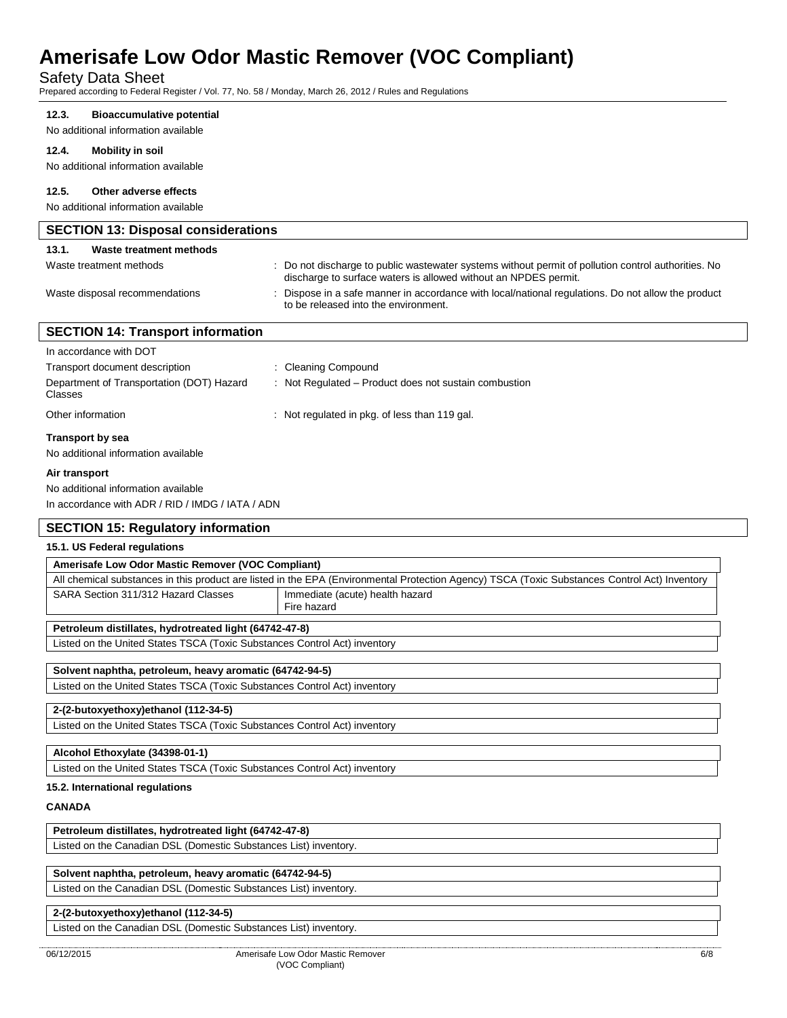# Safety Data Sheet

Prepared according to Federal Register / Vol. 77, No. 58 / Monday, March 26, 2012 / Rules and Regulations

#### **12.3. Bioaccumulative potential**

No additional information available

#### **12.4. Mobility in soil**

No additional information available

## **12.5. Other adverse effects**

No additional information available

| <b>SECTION 13: Disposal considerations</b> |                                                                                                                                                                        |
|--------------------------------------------|------------------------------------------------------------------------------------------------------------------------------------------------------------------------|
| Waste treatment methods<br>13.1.           |                                                                                                                                                                        |
| Waste treatment methods                    | : Do not discharge to public wastewater systems without permit of pollution control authorities. No<br>discharge to surface waters is allowed without an NPDES permit. |
| Waste disposal recommendations             | : Dispose in a safe manner in accordance with local/national regulations. Do not allow the product<br>to be released into the environment.                             |
| <b>SECTION 14: Transport information</b>   |                                                                                                                                                                        |
| In accordance with DOT                     |                                                                                                                                                                        |

| Transport by sea                                     |                                                       |
|------------------------------------------------------|-------------------------------------------------------|
| Other information                                    | : Not regulated in pkg. of less than 119 gal.         |
| Department of Transportation (DOT) Hazard<br>Classes | : Not Regulated – Product does not sustain combustion |
| Transport document description                       | : Cleaning Compound                                   |

No additional information available

### **Air transport**

No additional information available In accordance with ADR / RID / IMDG / IATA / ADN

# **SECTION 15: Regulatory information**

# **15.1. US Federal regulations**

| Amerisafe Low Odor Mastic Remover (VOC Compliant)                         |                                                                                                                                               |
|---------------------------------------------------------------------------|-----------------------------------------------------------------------------------------------------------------------------------------------|
|                                                                           | All chemical substances in this product are listed in the EPA (Environmental Protection Agency) TSCA (Toxic Substances Control Act) Inventory |
| SARA Section 311/312 Hazard Classes                                       | Immediate (acute) health hazard<br>Fire hazard                                                                                                |
| Petroleum distillates, hydrotreated light (64742-47-8)                    |                                                                                                                                               |
| Listed on the United States TSCA (Toxic Substances Control Act) inventory |                                                                                                                                               |
|                                                                           |                                                                                                                                               |
| Solvent naphtha, petroleum, heavy aromatic (64742-94-5)                   |                                                                                                                                               |
| Listed on the United States TSCA (Toxic Substances Control Act) inventory |                                                                                                                                               |
|                                                                           |                                                                                                                                               |
| 2-(2-butoxyethoxy)ethanol (112-34-5)                                      |                                                                                                                                               |

Listed on the United States TSCA (Toxic Substances Control Act) inventory

#### **15.2. International regulations**

**CANADA**

# **Petroleum distillates, hydrotreated light (64742-47-8)**

Listed on the Canadian DSL (Domestic Substances List) inventory.

# **Solvent naphtha, petroleum, heavy aromatic (64742-94-5)**

Listed on the Canadian DSL (Domestic Substances List) inventory.

# **2-(2-butoxyethoxy)ethanol (112-34-5)**

Listed on the Canadian DSL (Domestic Substances List) inventory.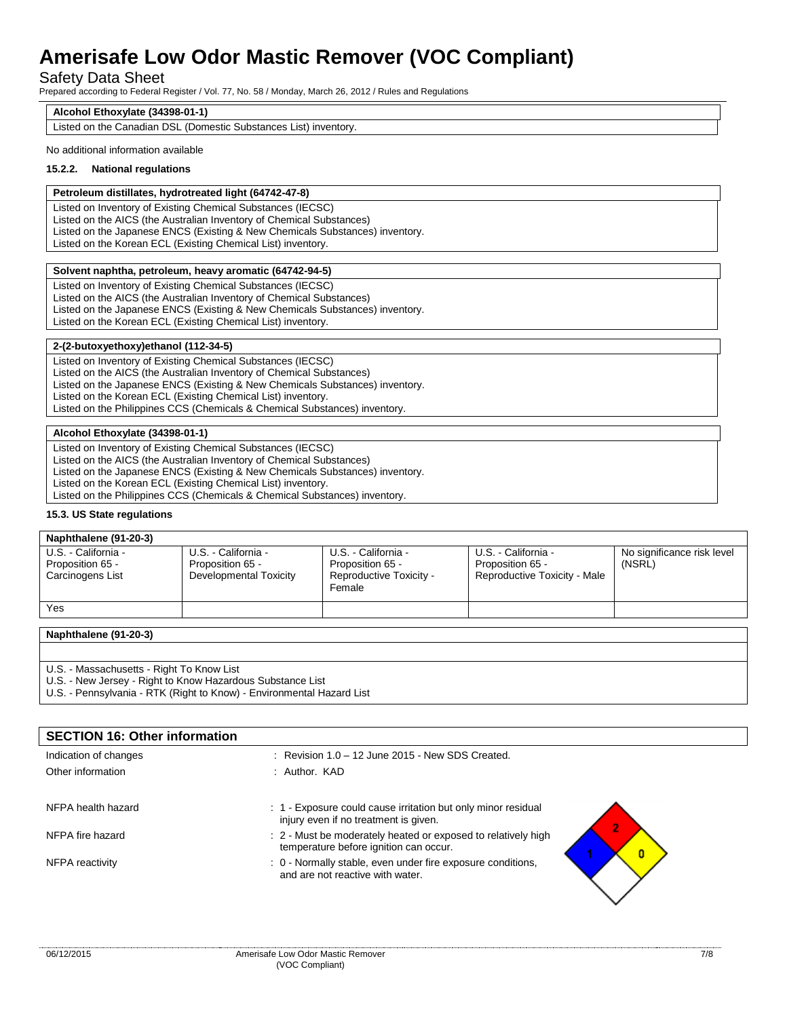# Safety Data Sheet

Prepared according to Federal Register / Vol. 77, No. 58 / Monday, March 26, 2012 / Rules and Regulations

#### **Alcohol Ethoxylate (34398-01-1)**

Listed on the Canadian DSL (Domestic Substances List) inventory.

#### No additional information available

#### **15.2.2. National regulations**

#### **Petroleum distillates, hydrotreated light (64742-47-8)**

Listed on Inventory of Existing Chemical Substances (IECSC) Listed on the AICS (the Australian Inventory of Chemical Substances) Listed on the Japanese ENCS (Existing & New Chemicals Substances) inventory. Listed on the Korean ECL (Existing Chemical List) inventory.

#### **Solvent naphtha, petroleum, heavy aromatic (64742-94-5)**

Listed on Inventory of Existing Chemical Substances (IECSC) Listed on the AICS (the Australian Inventory of Chemical Substances) Listed on the Japanese ENCS (Existing & New Chemicals Substances) inventory. Listed on the Korean ECL (Existing Chemical List) inventory.

### **2-(2-butoxyethoxy)ethanol (112-34-5)**

Listed on Inventory of Existing Chemical Substances (IECSC) Listed on the AICS (the Australian Inventory of Chemical Substances) Listed on the Japanese ENCS (Existing & New Chemicals Substances) inventory. Listed on the Korean ECL (Existing Chemical List) inventory. Listed on the Philippines CCS (Chemicals & Chemical Substances) inventory.

### **Alcohol Ethoxylate (34398-01-1)**

Listed on Inventory of Existing Chemical Substances (IECSC) Listed on the AICS (the Australian Inventory of Chemical Substances) Listed on the Japanese ENCS (Existing & New Chemicals Substances) inventory. Listed on the Korean ECL (Existing Chemical List) inventory. Listed on the Philippines CCS (Chemicals & Chemical Substances) inventory.

#### **15.3. US State regulations**

| Naphthalene (91-20-3)                                       |                                                                   |                                                                              |                                                                         |                                      |
|-------------------------------------------------------------|-------------------------------------------------------------------|------------------------------------------------------------------------------|-------------------------------------------------------------------------|--------------------------------------|
| U.S. - California -<br>Proposition 65 -<br>Carcinogens List | U.S. - California -<br>Proposition 65 -<br>Developmental Toxicity | U.S. - California -<br>Proposition 65 -<br>Reproductive Toxicity -<br>Female | U.S. - California -<br>Proposition 65 -<br>Reproductive Toxicity - Male | No significance risk level<br>(NSRL) |
| Yes                                                         |                                                                   |                                                                              |                                                                         |                                      |

**Naphthalene (91-20-3)**

U.S. - Massachusetts - Right To Know List

U.S. - New Jersey - Right to Know Hazardous Substance List

U.S. - Pennsylvania - RTK (Right to Know) - Environmental Hazard List

| <b>SECTION 16: Other information</b> |                                                                                                         |
|--------------------------------------|---------------------------------------------------------------------------------------------------------|
| Indication of changes                | $\therefore$ Revision 1.0 – 12 June 2015 - New SDS Created.                                             |
| Other information                    | : Author. KAD                                                                                           |
| NFPA health hazard                   | . 1 Exposure could cause irritation but only minor residual<br>injury even if no treatment is given.    |
| NFPA fire hazard                     | : 2 - Must be moderately heated or exposed to relatively high<br>temperature before ignition can occur. |
| NFPA reactivity                      | : 0 - Normally stable, even under fire exposure conditions,<br>and are not reactive with water.         |